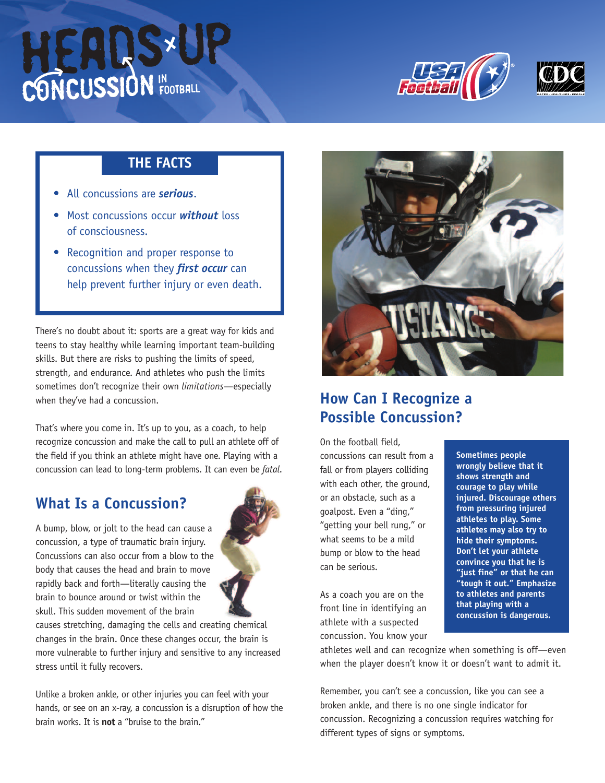





#### **THE FACTS**

- All concussions are *serious*.
- Most concussions occur *without* loss of consciousness.
- Recognition and proper response to concussions when they *first occur* can help prevent further injury or even death.

There's no doubt about it: sports are a great way for kids and teens to stay healthy while learning important team-building skills. But there are risks to pushing the limits of speed, strength, and endurance. And athletes who push the limits sometimes don't recognize their own *limitations*—especially when they've had a concussion.

That's where you come in. It's up to you, as a coach, to help recognize concussion and make the call to pull an athlete off of the field if you think an athlete might have one. Playing with a concussion can lead to long-term problems. It can even be *fatal*.

## **What Is a Concussion?**

A bump, blow, or jolt to the head can cause a concussion, a type of traumatic brain injury. Concussions can also occur from a blow to the body that causes the head and brain to move rapidly back and forth—literally causing the brain to bounce around or twist within the skull. This sudden movement of the brain



Unlike a broken ankle, or other injuries you can feel with your hands, or see on an x-ray, a concussion is a disruption of how the brain works. It is **not** a "bruise to the brain."



## **How Can I Recognize a Possible Concussion?**

On the football field, concussions can result from a fall or from players colliding with each other, the ground, or an obstacle, such as a goalpost. Even a "ding," "getting your bell rung," or what seems to be a mild bump or blow to the head can be serious.

As a coach you are on the front line in identifying an athlete with a suspected concussion. You know your

**Sometimes people wrongly believe that it shows strength and courage to play while injured. Discourage others from pressuring injured athletes to play. Some athletes may also try to hide their symptoms. Don't let your athlete convince you that he is "just fine" or that he can "tough it out." Emphasize to athletes and parents that playing with a concussion is dangerous.**

athletes well and can recognize when something is off—even when the player doesn't know it or doesn't want to admit it.

Remember, you can't see a concussion, like you can see a broken ankle, and there is no one single indicator for concussion. Recognizing a concussion requires watching for different types of signs or symptoms.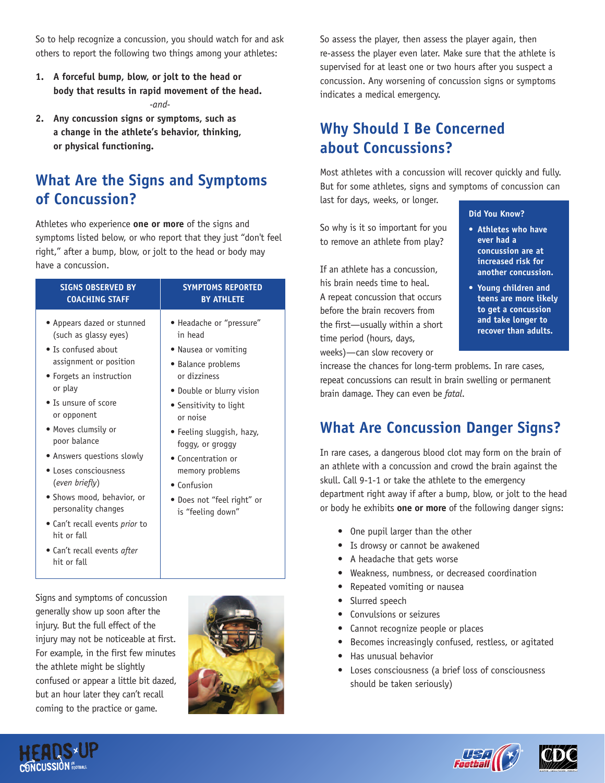So to help recognize a concussion, you should watch for and ask others to report the following two things among your athletes:

- **1. A forceful bump, blow, or jolt to the head or body that results in rapid movement of the head.** *-and-*
- **2. Any concussion signs or symptoms, such as a change in the athlete's behavior, thinking, or physical functioning.**

## **What Are the Signs and Symptoms of Concussion?**

Athletes who experience **one or more** of the signs and symptoms listed below, or who report that they just "don't feel right," after a bump, blow, or jolt to the head or body may have a concussion.

| <b>SIGNS OBSERVED BY</b><br><b>COACHING STAFF</b>                                                                                                                                                                                                                                                                                                                                         | <b>SYMPTOMS REPORTED</b><br><b>BY ATHLETE</b>                                                                                                                                                                                                                                                                                    |
|-------------------------------------------------------------------------------------------------------------------------------------------------------------------------------------------------------------------------------------------------------------------------------------------------------------------------------------------------------------------------------------------|----------------------------------------------------------------------------------------------------------------------------------------------------------------------------------------------------------------------------------------------------------------------------------------------------------------------------------|
| • Appears dazed or stunned<br>(such as glassy eyes)<br>• Is confused about<br>assignment or position<br>• Forgets an instruction<br>or play<br>• Is unsure of score<br>or opponent<br>• Moves clumsily or<br>poor balance<br>• Answers questions slowly<br>• Loses consciousness<br>(even briefly)<br>• Shows mood, behavior, or<br>personality changes<br>• Can't recall events prior to | • Headache or "pressure"<br>in head<br>• Nausea or vomiting<br>• Balance problems<br>or dizziness<br>• Double or blurry vision<br>• Sensitivity to light<br>or noise<br>• Feeling sluggish, hazy,<br>foggy, or groggy<br>• Concentration or<br>memory problems<br>• Confusion<br>• Does not "feel right" or<br>is "feeling down" |
| hit or fall                                                                                                                                                                                                                                                                                                                                                                               |                                                                                                                                                                                                                                                                                                                                  |

• Can't recall events *after* hit or fall

Signs and symptoms of concussion generally show up soon after the injury. But the full effect of the injury may not be noticeable at first. For example, in the first few minutes the athlete might be slightly confused or appear a little bit dazed, but an hour later they can't recall coming to the practice or game.



So assess the player, then assess the player again, then re-assess the player even later. Make sure that the athlete is supervised for at least one or two hours after you suspect a concussion. Any worsening of concussion signs or symptoms indicates a medical emergency.

#### **Why Should I Be Concerned about Concussions?**

Most athletes with a concussion will recover quickly and fully. But for some athletes, signs and symptoms of concussion can

last for days, weeks, or longer.

So why is it so important for you to remove an athlete from play?

If an athlete has a concussion, his brain needs time to heal. A repeat concussion that occurs before the brain recovers from the first—usually within a short time period (hours, days, weeks)—can slow recovery or

#### **Did You Know?**

- **• Athletes who have ever had a concussion are at increased risk for another concussion.**
- **• Young children and teens are more likely to get a concussion and take longer to recover than adults.**

increase the chances for long-term problems. In rare cases, repeat concussions can result in brain swelling or permanent brain damage. They can even be *fatal*.

#### **What Are Concussion Danger Signs?**

In rare cases, a dangerous blood clot may form on the brain of an athlete with a concussion and crowd the brain against the skull. Call 9-1-1 or take the athlete to the emergency department right away if after a bump, blow, or jolt to the head or body he exhibits **one or more** of the following danger signs:

- One pupil larger than the other
- Is drowsy or cannot be awakened
- A headache that gets worse
- Weakness, numbness, or decreased coordination
- Repeated vomiting or nausea
- Slurred speech
- Convulsions or seizures
- Cannot recognize people or places
- Becomes increasingly confused, restless, or agitated
- Has unusual behavior
- Loses consciousness (a brief loss of consciousness should be taken seriously)





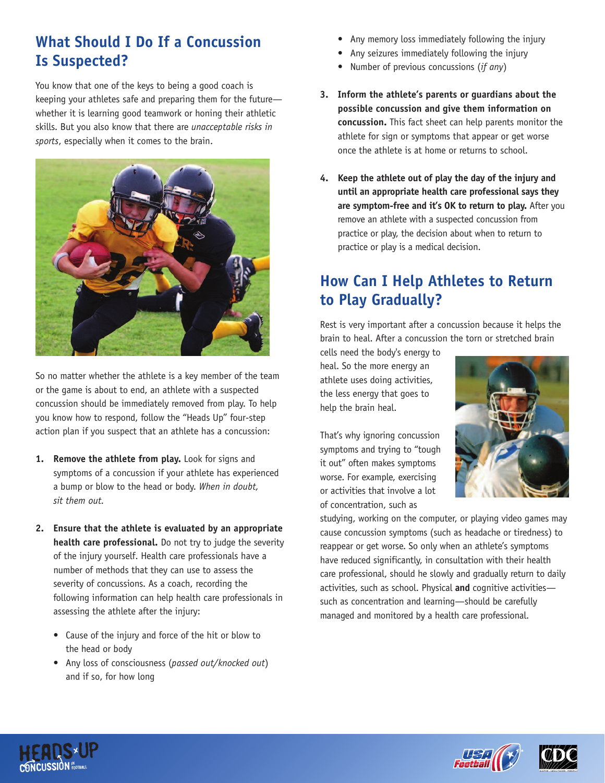## **What Should I Do If a Concussion Is Suspected?**

You know that one of the keys to being a good coach is keeping your athletes safe and preparing them for the future whether it is learning good teamwork or honing their athletic skills. But you also know that there are *unacceptable risks in sports*, especially when it comes to the brain.



So no matter whether the athlete is a key member of the team or the game is about to end, an athlete with a suspected concussion should be immediately removed from play. To help you know how to respond, follow the "Heads Up" four-step action plan if you suspect that an athlete has a concussion:

- **1. Remove the athlete from play.** Look for signs and symptoms of a concussion if your athlete has experienced a bump or blow to the head or body. *When in doubt, sit them out.*
- **2. Ensure that the athlete is evaluated by an appropriate health care professional.** Do not try to judge the severity of the injury yourself. Health care professionals have a number of methods that they can use to assess the severity of concussions. As a coach, recording the following information can help health care professionals in assessing the athlete after the injury:
	- Cause of the injury and force of the hit or blow to the head or body
	- Any loss of consciousness (*passed out/knocked out*) and if so, for how long
- Any memory loss immediately following the injury
- Any seizures immediately following the injury
- Number of previous concussions (*if any*)
- **3. Inform the athlete's parents or guardians about the possible concussion and give them information on concussion.** This fact sheet can help parents monitor the athlete for sign or symptoms that appear or get worse once the athlete is at home or returns to school.
- **4. Keep the athlete out of play the day of the injury and until an appropriate health care professional says they are symptom-free and it's OK to return to play.** After you remove an athlete with a suspected concussion from practice or play, the decision about when to return to practice or play is a medical decision.

# **How Can I Help Athletes to Return to Play Gradually?**

Rest is very important after a concussion because it helps the brain to heal. After a concussion the torn or stretched brain

cells need the body's energy to heal. So the more energy an athlete uses doing activities, the less energy that goes to help the brain heal.

That's why ignoring concussion symptoms and trying to "tough it out" often makes symptoms worse. For example, exercising or activities that involve a lot of concentration, such as



studying, working on the computer, or playing video games may cause concussion symptoms (such as headache or tiredness) to reappear or get worse. So only when an athlete's symptoms have reduced significantly, in consultation with their health care professional, should he slowly and gradually return to daily activities, such as school. Physical **and** cognitive activities such as concentration and learning—should be carefully managed and monitored by a health care professional.